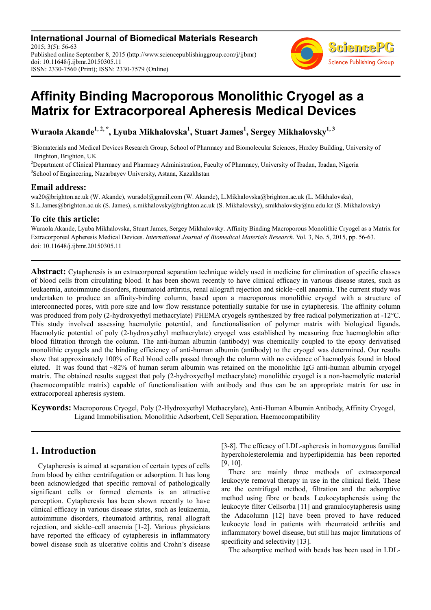**International Journal of Biomedical Materials Research** 2015; 3(5): 56-63 Published online September 8, 2015 (http://www.sciencepublishinggroup.com/j/ijbmr) doi: 10.11648/j.ijbmr.20150305.11 ISSN: 2330-7560 (Print); ISSN: 2330-7579 (Online)



# **Affinity Binding Macroporous Monolithic Cryogel as a Matrix for Extracorporeal Apheresis Medical Devices**

**Wuraola Akande1, 2, \*, Lyuba Mikhalovska<sup>1</sup> , Stuart James<sup>1</sup> , Sergey Mikhalovsky1, 3**

<sup>1</sup>Biomaterials and Medical Devices Research Group, School of Pharmacy and Biomolecular Sciences, Huxley Building, University of Brighton, Brighton, UK

<sup>2</sup>Department of Clinical Pharmacy and Pharmacy Administration, Faculty of Pharmacy, University of Ibadan, Ibadan, Nigeria 3 School of Engineering, Nazarbayev University, Astana, Kazakhstan

#### **Email address:**

wa20@brighton.ac.uk (W. Akande), wuradol@gmail.com (W. Akande), L.Mikhalovska@brighton.ac.uk (L. Mikhalovska), S.L.James@brighton.ac.uk (S. James), s.mikhalovsky@brighton.ac.uk (S. Mikhalovsky), smikhalovsky@nu.edu.kz (S. Mikhalovsky)

### **To cite this article:**

Wuraola Akande, Lyuba Mikhalovska, Stuart James, Sergey Mikhalovsky. Affinity Binding Macroporous Monolithic Cryogel as a Matrix for Extracorporeal Apheresis Medical Devices. *International Journal of Biomedical Materials Research*. Vol. 3, No. 5, 2015, pp. 56-63. doi: 10.11648/j.ijbmr.20150305.11

**Abstract:** Cytapheresis is an extracorporeal separation technique widely used in medicine for elimination of specific classes of blood cells from circulating blood. It has been shown recently to have clinical efficacy in various disease states, such as leukaemia, autoimmune disorders, rheumatoid arthritis, renal allograft rejection and sickle–cell anaemia. The current study was undertaken to produce an affinity-binding column, based upon a macroporous monolithic cryogel with a structure of interconnected pores, with pore size and low flow resistance potentially suitable for use in cytapheresis. The affinity column was produced from poly (2-hydroxyethyl methacrylate) PHEMA cryogels synthesized by free radical polymerization at -12°C. This study involved assessing haemolytic potential, and functionalisation of polymer matrix with biological ligands. Haemolytic potential of poly (2-hydroxyethyl methacrylate) cryogel was established by measuring free haemoglobin after blood filtration through the column. The anti-human albumin (antibody) was chemically coupled to the epoxy derivatised monolithic cryogels and the binding efficiency of anti-human albumin (antibody) to the cryogel was determined. Our results show that approximately 100% of Red blood cells passed through the column with no evidence of haemolysis found in blood eluted. It was found that ~82% of human serum albumin was retained on the monolithic IgG anti-human albumin cryogel matrix. The obtained results suggest that poly (2-hydroxyethyl methacrylate) monolithic cryogel is a non-haemolytic material (haemocompatible matrix) capable of functionalisation with antibody and thus can be an appropriate matrix for use in extracorporeal apheresis system.

**Keywords:** Macroporous Cryogel, Poly (2-Hydroxyethyl Methacrylate), Anti-Human Albumin Antibody, Affinity Cryogel, Ligand Immobilisation, Monolithic Adsorbent, Cell Separation, Haemocompatibility

# **1. Introduction**

Cytapheresis is aimed at separation of certain types of cells from blood by either centrifugation or adsorption. It has long been acknowledged that specific removal of pathologically significant cells or formed elements is an attractive perception. Cytapheresis has been shown recently to have clinical efficacy in various disease states, such as leukaemia, autoimmune disorders, rheumatoid arthritis, renal allograft rejection, and sickle–cell anaemia [1-2]. Various physicians have reported the efficacy of cytapheresis in inflammatory bowel disease such as ulcerative colitis and Crohn's disease [3-8]. The efficacy of LDL-apheresis in homozygous familial hypercholesterolemia and hyperlipidemia has been reported [9, 10].

There are mainly three methods of extracorporeal leukocyte removal therapy in use in the clinical field. These are the centrifugal method, filtration and the adsorptive method using fibre or beads. Leukocytapheresis using the leukocyte filter Cellsorba [11] and granulocytapheresis using the Adacolumn [12] have been proved to have reduced leukocyte load in patients with rheumatoid arthritis and inflammatory bowel disease, but still has major limitations of specificity and selectivity [13].

The adsorptive method with beads has been used in LDL-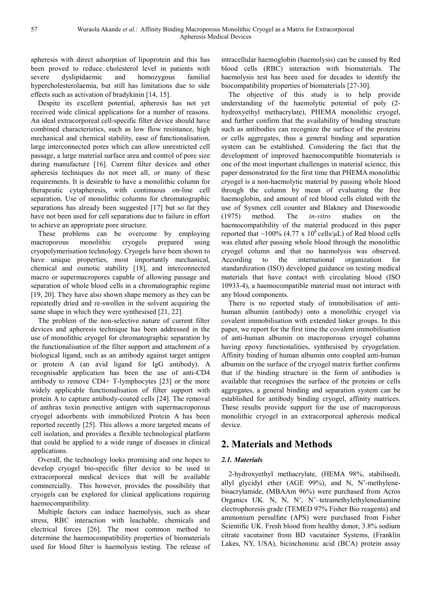apheresis with direct adsorption of lipoprotein and this has been proved to reduce cholesterol level in patients with severe dyslipidaemic and homozygous familial hypercholesterolaemia, but still has limitations due to side effects such as activation of bradykinin [14, 15].

Despite its excellent potential, apheresis has not yet received wide clinical applications for a number of reasons. An ideal extracorporeal cell-specific filter device should have combined characteristics, such as low flow resistance, high mechanical and chemical stability, ease of functionalisation, large interconnected pores which can allow unrestricted cell passage, a large material surface area and control of pore size during manufacture [16]. Current filter devices and other apheresis techniques do not meet all, or many of these requirements. It is desirable to have a monolithic column for therapeutic cytapheresis, with continuous on-line cell separation. Use of monolithic columns for chromatographic separations has already been suggested [17] but so far they have not been used for cell separations due to failure in effort to achieve an appropriate pore structure.

These problems can be overcome by employing macroporous monolithic cryogels prepared using cryopolymerisation technology. Cryogels have been shown to have unique properties, most importantly mechanical, chemical and osmotic stability [18], and interconnected macro or supermacropores capable of allowing passage and separation of whole blood cells in a chromatographic regime [19, 20]. They have also shown shape memory as they can be repeatedly dried and re-swollen in the solvent acquiring the same shape in which they were synthesised [21, 22].

The problem of the non-selective nature of current filter devices and apheresis technique has been addressed in the use of monolithic cryogel for chromatographic separation by the functionalisation of the filter support and attachment of a biological ligand, such as an antibody against target antigen or protein A (an avid ligand for IgG antibody). A recognisable application has been the use of anti-CD4 antibody to remove CD4+ T-lymphocytes [23] or the more widely applicable functionalisation of filter support with protein A to capture antibody-coated cells [24]. The removal of anthrax toxin protective antigen with supermacroporous cryogel adsorbents with immobilized Protein A has been reported recently [25]. This allows a more targeted means of cell isolation, and provides a flexible technological platform that could be applied to a wide range of diseases in clinical applications.

Overall, the technology looks promising and one hopes to develop cryogel bio-specific filter device to be used in extracorporeal medical devices that will be available commercially. This however, provides the possibility that cryogels can be explored for clinical applications requiring haemocompatibility.

Multiple factors can induce haemolysis, such as shear stress, RBC interaction with leachable, chemicals and electrical forces [26]. The most common method to determine the haemocompatibility properties of biomaterials used for blood filter is haemolysis testing. The release of intracellular haemoglobin (haemolysis) can be caused by Red blood cells (RBC) interaction with biomaterials. The haemolysis test has been used for decades to identify the biocompatibility properties of biomaterials [27-30].

The objective of this study is to help provide understanding of the haemolytic potential of poly (2 hydroxyethyl methacrylate), PHEMA monolithic cryogel, and further confirm that the availability of binding structure such as antibodies can recognize the surface of the proteins or cells aggregates, thus a general binding and separation system can be established. Considering the fact that the development of improved haemocompatible biomaterials is one of the most important challenges in material science, this paper demonstrated for the first time that PHEMA monolithic cryogel is a non-haemolytic material by passing whole blood through the column by mean of evaluating the free haemoglobin, and amount of red blood cells eluted with the use of Sysmex cell counter and Blakney and Dinewoodie (1975) method. The *in-vitro* studies on the haemocompatibility of the material produced in this paper reported that ~100% (4.77 x 10<sup>6</sup> cells/ $\mu$ L) of Red blood cells was eluted after passing whole blood through the monolithic cryogel column and that no haemolysis was observed. According to the international organization for standardization (ISO) developed guidance on testing medical materials that have contact with circulating blood (ISO 10933-4), a haemocompatible material must not interact with any blood components.

There is no reported study of immobilisation of antihuman albumin (antibody) onto a monolithic cryogel via covalent immobilisation with extended linker groups. In this paper, we report for the first time the covalent immobilisation of anti-human albumin on macroporous cryogel columns having epoxy functionalities, synthesised by cryogelation. Affinity binding of human albumin onto coupled anti-human albumin on the surface of the cryogel matrix further confirms that if the binding structure in the form of antibodies is available that recognises the surface of the proteins or cells aggregates, a general binding and separation system can be established for antibody binding cryogel, affinity matrices. These results provide support for the use of macroporous monolithic cryogel in an extracorporeal apheresis medical device.

# **2. Materials and Methods**

### *2.1. Materials*

2-hydroxyethyl methacrylate, (HEMA 98%, stabilised), allyl glycidyl ether (AGE 99%), and N, N'-methylenebisacrylamide, (MBAAm 96%) were purchased from Acros Organics UK. N, N, N', N'–tetramethylethylenediamine electrophoresis grade (TEMED 97% Fisher Bio reagents) and ammonium persulfate (APS) were purchased from Fisher Scientific UK. Fresh blood from healthy donor, 3.8% sodium citrate vacutainer from BD vacutainer Systems, (Franklin Lakes, NY, USA), bicinchoninic acid (BCA) protein assay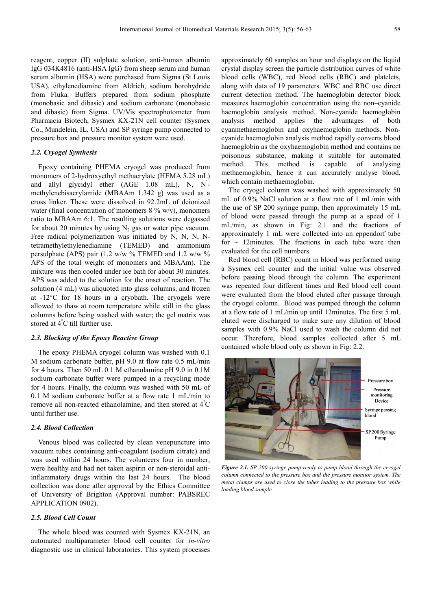reagent, copper (II) sulphate solution, anti-human albumin IgG 034K4816 (anti-HSA IgG) from sheep serum and human serum albumin (HSA) were purchased from Sigma (St Louis USA), ethylenediamine from Aldrich, sodium borohydride from Fluka. Buffers prepared from sodium phosphate (monobasic and dibasic) and sodium carbonate (monobasic and dibasic) from Sigma. UV/Vis spectrophotometer from Pharmacia Biotech, Sysmex KX-21N cell counter (Sysmex Co., Mundelein, IL, USA) and SP syringe pump connected to pressure box and pressure monitor system were used.

#### *2.2. Cryogel Synthesis*

Epoxy containing PHEMA cryogel was produced from monomers of 2-hydroxyethyl methacrylate (HEMA 5.28 mL) and allyl glycidyl ether (AGE 1.08 mL), N, N<sup>'</sup>methylenebisacrylamide (MBAAm 1.342 g) was used as a cross linker. These were dissolved in 92.2mL of deionized water (final concentration of monomers  $8\%$  w/v), monomers ratio to MBAAm 6:1. The resulting solutions were degassed for about 20 minutes by using  $N_2$  gas or water pipe vacuum. Free radical polymerization was initiated by N, N, N, Ntetramethylethylenediamine (TEMED) and ammonium persulphate (APS) pair (1.2 w/w  $\%$  TEMED and 1.2 w/w  $\%$ APS of the total weight of monomers and MBAAm). The mixture was then cooled under ice bath for about 30 minutes. APS was added to the solution for the onset of reaction. The solution (4 mL) was aliquoted into glass columns, and frozen at -12°C for 18 hours in a cryobath. The cryogels were allowed to thaw at room temperature while still in the glass columns before being washed with water; the gel matrix was stored at 4°C till further use.

#### *2.3. Blocking of the Epoxy Reactive Group*

The epoxy PHEMA cryogel column was washed with 0.1 M sodium carbonate buffer, pH 9.0 at flow rate 0.5 mL/min for 4 hours. Then 50 mL 0.1 M ethanolamine pH 9.0 in 0.1M sodium carbonate buffer were pumped in a recycling mode for 4 hours. Finally, the column was washed with 50 mL of 0.1 M sodium carbonate buffer at a flow rate 1 mL/min to remove all non-reacted ethanolamine, and then stored at 4°C until further use.

#### *2.4. Blood Collection*

Venous blood was collected by clean venepuncture into vacuum tubes containing anti-coagulant (sodium citrate) and was used within 24 hours. The volunteers four in number, were healthy and had not taken aspirin or non-steroidal antiinflammatory drugs within the last 24 hours. The blood collection was done after approval by the Ethics Committee of University of Brighton (Approval number: PABSREC APPLICATION 0902).

#### *2.5. Blood Cell Count*

The whole blood was counted with Sysmex KX-21N, an automated multiparameter blood cell counter for *in-vitro* diagnostic use in clinical laboratories. This system processes approximately 60 samples an hour and displays on the liquid crystal display screen the particle distribution curves of white blood cells (WBC), red blood cells (RBC) and platelets, along with data of 19 parameters. WBC and RBC use direct current detection method. The haemoglobin detector block measures haemoglobin concentration using the non–cyanide haemoglobin analysis method. Non-cyanide haemoglobin analysis method applies the advantages of both cyanmethaemoglobin and oxyhaemoglobin methods. Noncyanide haemoglobin analysis method rapidly converts blood haemoglobin as the oxyhaemoglobin method and contains no poisonous substance, making it suitable for automated method. This method is capable of analysing methaemoglobin, hence it can accurately analyse blood, which contain methaemoglobin.

The cryogel column was washed with approximately 50 mL of 0.9% NaCl solution at a flow rate of 1 mL/min with the use of SP 200 syringe pump, then approximately 15 mL of blood were passed through the pump at a speed of 1 mL/min, as shown in Fig: 2.1 and the fractions of approximately 1 mL were collected into an eppendorf tube for  $\sim$  12minutes. The fractions in each tube were then evaluated for the cell numbers.

Red blood cell (RBC) count in blood was performed using a Sysmex cell counter and the initial value was observed before passing blood through the column. The experiment was repeated four different times and Red blood cell count were evaluated from the blood eluted after passage through the cryogel column. Blood was pumped through the column at a flow rate of 1 mL/min up until 12minutes. The first 5 mL eluted were discharged to make sure any dilution of blood samples with 0.9% NaCl used to wash the column did not occur. Therefore, blood samples collected after 5 mL contained whole blood only as shown in Fig: 2.2.



*Figure 2.1. SP 200 syringe pump ready to pump blood through the cryogel column connected to the pressure box and the pressure monitor system. The metal clamps are used to close the tubes leading to the pressure box while loading blood sample.*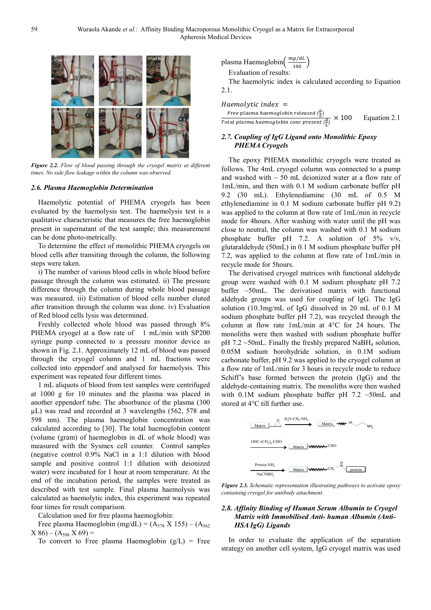

*Figure 2.2. Flow of blood passing through the cryogel matrix at different times. No side flow leakage within the column was observed.* 

#### *2.6. Plasma Haemoglobin Determination*

Haemolytic potential of PHEMA cryogels has been evaluated by the haemolysis test. The haemolysis test is a qualitative characteristic that measures the free haemoglobin present in supernatant of the test sample; this measurement can be done photo-metrically.

To determine the effect of monolithic PHEMA cryogels on blood cells after transiting through the column, the following steps were taken.

i) The number of various blood cells in whole blood before passage through the column was estimated. ii) The pressure difference through the column during whole blood passage was measured. iii) Estimation of blood cells number eluted after transition through the column was done. iv) Evaluation of Red blood cells lysis was determined.

Freshly collected whole blood was passed through 8% PHEMA cryogel at a flow rate of 1 mL/min with SP200 syringe pump connected to a pressure monitor device as shown in Fig. 2.1. Approximately 12 mL of blood was passed through the cryogel column and 1 mL fractions were collected into eppendorf and analysed for haemolysis. This experiment was repeated four different times.

1 mL aliquots of blood from test samples were centrifuged at 1000 g for 10 minutes and the plasma was placed in another eppendorf tube. The absorbance of the plasma (300 µL) was read and recorded at 3 wavelengths (562, 578 and 598 nm). The plasma haemoglobin concentration was calculated according to [30]. The total haemoglobin content (volume (gram) of haemoglobin in dL of whole blood) was measured with the Sysmex cell counter. Control samples (negative control 0.9% NaCl in a 1:1 dilution with blood sample and positive control 1:1 dilution with deionized water) were incubated for 1 hour at room temperature. At the end of the incubation period, the samples were treated as described with test sample. Final plasma haemolysis was calculated as haemolytic index, this experiment was repeated four times for result comparison.

Calculation used for free plasma haemoglobin:

Free plasma Haemoglobin (mg/dL) =  $(A_{578} X 155) - (A_{562}$  $X$  86) – (A<sub>598</sub> X 69) =

To convert to Free plasma Haemoglobin  $(g/L)$  = Free

plasma Haemoglobin
$$
\left(\frac{mg/dL}{100}\right)
$$

Evaluation of results:

The haemolytic index is calculated according to Equation 2.1.

 $Haemolytic index =$ Free plasma haemoglobin released  $(\frac{g}{L})$ Total plasma haemoglobin conc present  $(\frac{g}{L})$ Equation 2.1

#### *2.7. Coupling of IgG Ligand onto Monolithic Epoxy PHEMA Cryogels*

The epoxy PHEMA monolithic cryogels were treated as follows. The 4mL cryogel column was connected to a pump and washed with  $\sim$  50 mL deionized water at a flow rate of 1mL/min, and then with 0.1 M sodium carbonate buffer pH 9.2 (30 mL). Ethylenediamine (30 mL of 0.5 M ethylenediamine in 0.1 M sodium carbonate buffer pH 9.2) was applied to the column at flow rate of 1mL/min in recycle mode for 4hours. After washing with water until the pH was close to neutral, the column was washed with 0.1 M sodium phosphate buffer pH 7.2. A solution of  $5\%$  v/v, glutaraldehyde (50mL) in 0.1 M sodium phosphate buffer pH 7.2, was applied to the column at flow rate of 1mL/min in recycle mode for 5hours.

The derivatised cryogel matrices with functional aldehyde group were washed with 0.1 M sodium phosphate pH 7.2 buffer ~50mL. The derivatised matrix with functional aldehyde groups was used for coupling of IgG. The IgG solution (10.3mg/mL of IgG dissolved in 20 mL of 0.1 M sodium phosphate buffer pH 7.2), was recycled through the column at flow rate 1mL/min at 4°C for 24 hours. The monoliths were then washed with sodium phosphate buffer pH 7.2  $\sim$ 50mL. Finally the freshly prepared NaBH<sub>4</sub> solution, 0.05M sodium borohydride solution, in 0.1M sodium carbonate buffer, pH 9.2 was applied to the cryogel column at a flow rate of 1mL/min for 3 hours in recycle mode to reduce Schiff's base formed between the protein (IgG) and the aldehyde-containing matrix. The monoliths were then washed with 0.1M sodium phosphate buffer pH  $7.2 \sim 50$ mL and stored at 4°C till further use.



*Figure 2.3. Schematic representation illustrating pathways to activate epoxy containing cryogel for antibody attachment.*

#### *2.8. Affinity Binding of Human Serum Albumin to Cryogel Matrix with Immobilised Anti- human Albumin (Anti-HSA IgG) Ligands*

In order to evaluate the application of the separation strategy on another cell system, IgG cryogel matrix was used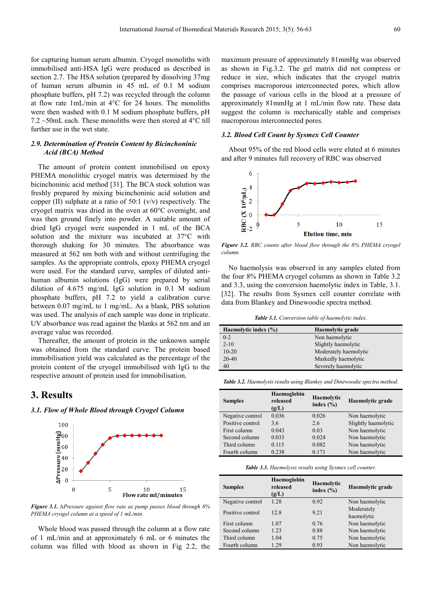for capturing human serum albumin. Cryogel monoliths with immobilised anti-HSA IgG were produced as described in section 2.7. The HSA solution (prepared by dissolving 37mg of human serum albumin in 45 mL of 0.1 M sodium phosphate buffers, pH 7.2) was recycled through the column at flow rate 1mL/min at 4°C for 24 hours. The monoliths were then washed with 0.1 M sodium phosphate buffers, pH  $7.2 \sim 50$ mL each. These monoliths were then stored at 4 $\degree$ C till further use in the wet state.

#### *2.9. Determination of Protein Content by Bicinchoninic Acid (BCA) Method*

The amount of protein content immobilised on epoxy PHEMA monolithic cryogel matrix was determined by the bicinchoninic acid method [31]. The BCA stock solution was freshly prepared by mixing bicinchoninic acid solution and copper (II) sulphate at a ratio of 50:1 (v/v) respectively. The cryogel matrix was dried in the oven at 60°C overnight, and was then ground finely into powder. A suitable amount of dried IgG cryogel were suspended in 1 mL of the BCA solution and the mixture was incubated at 37°C with thorough shaking for 30 minutes. The absorbance was measured at 562 nm both with and without centrifuging the samples. As the appropriate controls, epoxy PHEMA cryogel were used. For the standard curve, samples of diluted antihuman albumin solutions (IgG) were prepared by serial dilution of 4.675 mg/mL IgG solution in 0.1 M sodium phosphate buffers, pH 7.2 to yield a calibration curve between 0.07 mg/mL to 1 mg/mL. As a blank, PBS solution was used. The analysis of each sample was done in triplicate. UV absorbance was read against the blanks at 562 nm and an average value was recorded.

Thereafter, the amount of protein in the unknown sample was obtained from the standard curve. The protein based immobilisation yield was calculated as the percentage of the protein content of the cryogel immobilised with IgG to the respective amount of protein used for immobilisation.

# **3. Results**

*3.1. Flow of Whole Blood through Cryogel Column* 



*Figure 3.1. ∆Pressure against flow rate as pump passes blood through 8% PHEMA cryogel column at a speed of 1 mL/min.* 

Whole blood was passed through the column at a flow rate of 1 mL/min and at approximately 6 mL or 6 minutes the column was filled with blood as shown in Fig 2.2, the

maximum pressure of approximately 81mmHg was observed as shown in Fig.3.2. The gel matrix did not compress or reduce in size, which indicates that the cryogel matrix comprises macroporous interconnected pores, which allow the passage of various cells in the blood at a pressure of approximately 81mmHg at 1 mL/min flow rate. These data suggest the column is mechanically stable and comprises macroporous interconnected pores.

#### *3.2. Blood Cell Count by Sysmex Cell Counter*

About 95% of the red blood cells were eluted at 6 minutes and after 9 minutes full recovery of RBC was observed



*Figure 3.2. RBC counts after blood flow through the 8% PHEMA cryogel column.* 

No haemolysis was observed in any samples eluted from the four 8% PHEMA cryogel columns as shown in Table 3.2 and 3.3, using the conversion haemolytic index in Table, 3.1. [32]. The results from Sysmex cell counter correlate with data from Blankey and Dinewoodie spectra method.

*Table 3.1. Conversion table of haemolytic index.* 

| Haemolytic index (%) | Haemolytic grade      |
|----------------------|-----------------------|
| $0 - 2$              | Non haemolytic        |
| $2 - 10$             | Slightly haemolytic   |
| $10 - 20$            | Moderately haemolytic |
| 20-40                | Markedly haemolytic   |
| 40                   | Severely haemolytic   |

*Table 3.2. Haemolysis results using Blankey and Dinewoodie spectra method.* 

| <b>Samples</b>   | Haemoglobin<br>released | Haemolytic | Haemolytic grade    |
|------------------|-------------------------|------------|---------------------|
| (g/L)            | index $(\% )$           |            |                     |
| Negative control | 0.036                   | 0.026      | Non haemolytic      |
| Positive control | 3.6                     | 2.6        | Slightly haemolytic |
| First column     | 0.043                   | 0.03       | Non haemolytic      |
| Second column    | 0.033                   | 0.024      | Non haemolytic      |
| Third column     | 0.115                   | 0.082      | Non haemolytic      |
| Fourth column    | 0.238                   | 0.171      | Non haemolytic      |

*Table 3.3. Haemolysis results using Sysmex cell counter.* 

| <b>Samples</b>   | Haemoglobin<br>released<br>(g/L) | Haemolytic<br>index $(\% )$ | Haemolytic grade         |
|------------------|----------------------------------|-----------------------------|--------------------------|
| Negative control | 1.28                             | 0.92                        | Non haemolytic           |
| Positive control | 12.8                             | 9.21                        | Moderately<br>haemolytic |
| First column     | 1.07                             | 0.76                        | Non haemolytic           |
| Second column    | 1.23                             | 0.88                        | Non haemolytic           |
| Third column     | 1.04                             | 0.75                        | Non haemolytic           |
| Fourth column    | 1.29                             | 0.93                        | Non haemolytic           |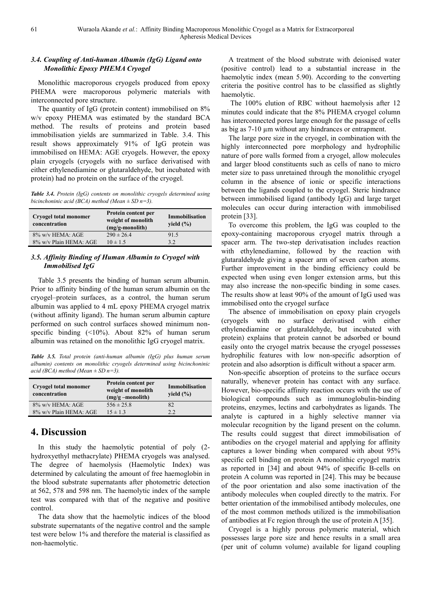#### *3.4. Coupling of Anti-human Albumin (IgG) Ligand onto Monolithic Epoxy PHEMA Cryogel*

Monolithic macroporous cryogels produced from epoxy PHEMA were macroporous polymeric materials with interconnected pore structure.

The quantity of IgG (protein content) immobilised on 8% w/v epoxy PHEMA was estimated by the standard BCA method. The results of proteins and protein based immobilisation yields are summarized in Table. 3.4. This result shows approximately 91% of IgG protein was immobilised on HEMA: AGE cryogels. However, the epoxy plain cryogels (cryogels with no surface derivatised with either ethylenediamine or glutaraldehyde, but incubated with protein) had no protein on the surface of the cryogel.

*Table 3.4. Protein (IgG) contents on monolithic cryogels determined using bicinchoninic acid (BCA) method (Mean ± SD n=3).* 

| Cryogel total monomer<br>concentration | Protein content per<br>weight of monolith<br>$(mg/g-monolith)$ | Immobilisation<br>yield $(\% )$ |
|----------------------------------------|----------------------------------------------------------------|---------------------------------|
| 8% w/v HEMA: AGE                       | $290 \pm 26.4$                                                 | 91.5                            |
| 8% w/v Plain HEMA: AGE                 | $10 \pm 1.5$                                                   | 32                              |

#### *3.5. Affinity Binding of Human Albumin to Cryogel with Immobilised IgG*

Table 3.5 presents the binding of human serum albumin. Prior to affinity binding of the human serum albumin on the cryogel–protein surfaces, as a control, the human serum albumin was applied to 4 mL epoxy PHEMA cryogel matrix (without affinity ligand). The human serum albumin capture performed on such control surfaces showed minimum nonspecific binding (<10%). About 82% of human serum albumin was retained on the monolithic IgG cryogel matrix.

*Table 3.5. Total protein (anti-human albumin (IgG) plus human serum albumin) contents on monolithic cryogels determined using bicinchoninic acid (BCA) method (Mean ± SD n=3).* 

| <b>Cryogel total monomer</b><br>concentration | Protein content per<br>weight of monolith<br>$(mg/g - monolith)$ | Immobilisation<br>yield $(\% )$ |
|-----------------------------------------------|------------------------------------------------------------------|---------------------------------|
| 8% w/v HEMA: AGE                              | $556 \pm 25.8$                                                   | 82                              |
| 8% w/v Plain HEMA: AGE                        | $15 \pm 1.3$                                                     | 2.2                             |

# **4. Discussion**

In this study the haemolytic potential of poly (2 hydroxyethyl methacrylate) PHEMA cryogels was analysed. The degree of haemolysis (Haemolytic Index) was determined by calculating the amount of free haemoglobin in the blood substrate supernatants after photometric detection at 562, 578 and 598 nm. The haemolytic index of the sample test was compared with that of the negative and positive control.

The data show that the haemolytic indices of the blood substrate supernatants of the negative control and the sample test were below 1% and therefore the material is classified as non-haemolytic.

A treatment of the blood substrate with deionised water (positive control) lead to a substantial increase in the haemolytic index (mean 5.90). According to the converting criteria the positive control has to be classified as slightly haemolytic.

 The 100% elution of RBC without haemolysis after 12 minutes could indicate that the 8% PHEMA cryogel column has interconnected pores large enough for the passage of cells as big as 7-10 µm without any hindrances or entrapment.

The large pore size in the cryogel, in combination with the highly interconnected pore morphology and hydrophilic nature of pore walls formed from a cryogel, allow molecules and larger blood constituents such as cells of nano to micro meter size to pass unretained through the monolithic cryogel column in the absence of ionic or specific interactions between the ligands coupled to the cryogel. Steric hindrance between immobilised ligand (antibody IgG) and large target molecules can occur during interaction with immobilised protein [33].

To overcome this problem, the IgG was coupled to the epoxy-containing macroporous cryogel matrix through a spacer arm. The two-step derivatisation includes reaction with ethylenediamine, followed by the reaction with glutaraldehyde giving a spacer arm of seven carbon atoms. Further improvement in the binding efficiency could be expected when using even longer extension arms, but this may also increase the non-specific binding in some cases. The results show at least 90% of the amount of IgG used was immobilised onto the cryogel surface

The absence of immobilisation on epoxy plain cryogels (cryogels with no surface derivatised with either ethylenediamine or glutaraldehyde, but incubated with protein) explains that protein cannot be adsorbed or bound easily onto the cryogel matrix because the cryogel possesses hydrophilic features with low non-specific adsorption of protein and also adsorption is difficult without a spacer arm.

Non-specific absorption of proteins to the surface occurs naturally, whenever protein has contact with any surface. However, bio-specific affinity reaction occurs with the use of biological compounds such as immunoglobulin-binding proteins, enzymes, lectins and carbohydrates as ligands. The analyte is captured in a highly selective manner via molecular recognition by the ligand present on the column. The results could suggest that direct immobilisation of antibodies on the cryogel material and applying for affinity captures a lower binding when compared with about 95% specific cell binding on protein A monolithic cryogel matrix as reported in [34] and about 94% of specific B-cells on protein A column was reported in [24]. This may be because of the poor orientation and also some inactivation of the antibody molecules when coupled directly to the matrix. For better orientation of the immobilised antibody molecules, one of the most common methods utilized is the immobilisation of antibodies at Fc region through the use of protein A [35].

Cryogel is a highly porous polymeric material, which possesses large pore size and hence results in a small area (per unit of column volume) available for ligand coupling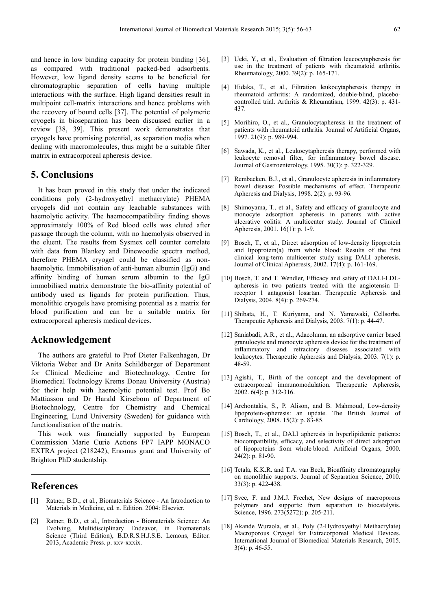and hence in low binding capacity for protein binding [36], as compared with traditional packed-bed adsorbents. However, low ligand density seems to be beneficial for chromatographic separation of cells having multiple interactions with the surface. High ligand densities result in multipoint cell-matrix interactions and hence problems with the recovery of bound cells [37]. The potential of polymeric cryogels in bioseparation has been discussed earlier in a review [38, 39]. This present work demonstrates that cryogels have promising potential, as separation media when dealing with macromolecules, thus might be a suitable filter matrix in extracorporeal apheresis device.

# **5. Conclusions**

It has been proved in this study that under the indicated conditions poly (2-hydroxyethyl methacrylate) PHEMA cryogels did not contain any leachable substances with haemolytic activity. The haemocompatibility finding shows approximately 100% of Red blood cells was eluted after passage through the column, with no haemolysis observed in the eluent. The results from Sysmex cell counter correlate with data from Blankey and Dinewoodie spectra method, therefore PHEMA cryogel could be classified as nonhaemolytic. Immobilisation of anti-human albumin (IgG) and affinity binding of human serum albumin to the IgG immobilised matrix demonstrate the bio-affinity potential of antibody used as ligands for protein purification. Thus, monolithic cryogels have promising potential as a matrix for blood purification and can be a suitable matrix for extracorporeal apheresis medical devices.

## **Acknowledgement**

The authors are grateful to Prof Dieter Falkenhagen, Dr Viktoria Weber and Dr Anita Schildberger of Department for Clinical Medicine and Biotechnology, Centre for Biomedical Technology Krems Donau University (Austria) for their help with haemolytic potential test. Prof Bo Mattiasson and Dr Harald Kirsebom of Department of Biotechnology, Centre for Chemistry and Chemical Engineering, Lund University (Sweden) for guidance with functionalisation of the matrix.

This work was financially supported by European Commission Marie Curie Actions FP7 IAPP MONACO EXTRA project (218242), Erasmus grant and University of Brighton PhD studentship.

### **References**

- [1] Ratner, B.D., et al., Biomaterials Science An Introduction to Materials in Medicine, ed. n. Edition. 2004: Elsevier.
- [2] Ratner, B.D., et al., Introduction Biomaterials Science: An Evolving, Multidisciplinary Endeavor, in Biomaterials Science (Third Edition), B.D.R.S.H.J.S.E. Lemons, Editor. 2013, Academic Press. p. xxv-xxxix.
- [3] Ueki, Y., et al., Evaluation of filtration leucocytapheresis for use in the treatment of patients with rheumatoid arthritis. Rheumatology, 2000. 39(2): p. 165-171.
- [4] Hidaka, T., et al., Filtration leukocytapheresis therapy in rheumatoid arthritis: A randomized, double-blind, placebocontrolled trial. Arthritis & Rheumatism, 1999. 42(3): p. 431- 437.
- [5] Morihiro, O., et al., Granulocytapheresis in the treatment of patients with rheumatoid arthritis. Journal of Artificial Organs, 1997. 21(9): p. 989-994.
- [6] Sawada, K., et al., Leukocytapheresis therapy, performed with leukocyte removal filter, for inflammatory bowel disease. Journal of Gastroenterology, 1995. 30(3): p. 322-329.
- [7] Rembacken, B.J., et al., Granulocyte apheresis in inflammatory bowel disease: Possible mechanisms of effect. Therapeutic Apheresis and Dialysis, 1998. 2(2): p. 93-96.
- [8] Shimoyama, T., et al., Safety and efficacy of granulocyte and monocyte adsorption apheresis in patients with active ulcerative colitis: A multicenter study. Journal of Clinical Apheresis, 2001. 16(1): p. 1-9.
- [9] Bosch, T., et al., Direct adsorption of low-density lipoprotein and lipoprotein(a) from whole blood: Results of the first clinical long-term multicenter study using DALI apheresis. Journal of Clinical Apheresis, 2002. 17(4): p. 161-169.
- [10] Bosch, T. and T. Wendler, Efficacy and safety of DALI-LDLapheresis in two patients treated with the angiotensin IIreceptor 1 antagonist losartan. Therapeutic Apheresis and Dialysis, 2004. 8(4): p. 269-274.
- [11] Shibata, H., T. Kuriyama, and N. Yamawaki, Cellsorba. Therapeutic Apheresis and Dialysis, 2003. 7(1): p. 44-47.
- [12] Saniabadi, A.R., et al., Adacolumn, an adsorptive carrier based granulocyte and monocyte apheresis device for the treatment of inflammatory and refractory diseases associated with leukocytes. Therapeutic Apheresis and Dialysis, 2003. 7(1): p. 48-59.
- [13] Agishi, T., Birth of the concept and the development of extracorporeal immunomodulation. Therapeutic Apheresis, 2002. 6(4): p. 312-316.
- [14] Archontakis, S., P. Alison, and B. Mahmoud, Low-density lipoprotein-apheresis: an update. The British Journal of Cardiology, 2008. 15(2): p. 83-85.
- [15] Bosch, T., et al., DALI apheresis in hyperlipidemic patients: biocompatibility, efficacy, and selectivity of direct adsorption of lipoproteins from whole blood. Artificial Organs, 2000.  $24(2)$ : p. 81-90.
- [16] Tetala, K.K.R. and T.A. van Beek, Bioaffinity chromatography on monolithic supports. Journal of Separation Science, 2010. 33(3): p. 422-438.
- [17] Svec, F. and J.M.J. Frechet, New designs of macroporous polymers and supports: from separation to biocatalysis. Science, 1996. 273(5272): p. 205-211.
- [18] Akande Wuraola, et al., Poly (2-Hydroxyethyl Methacrylate) Macroporous Cryogel for Extracorporeal Medical Devices. International Journal of Biomedical Materials Research, 2015. 3(4): p. 46-55.